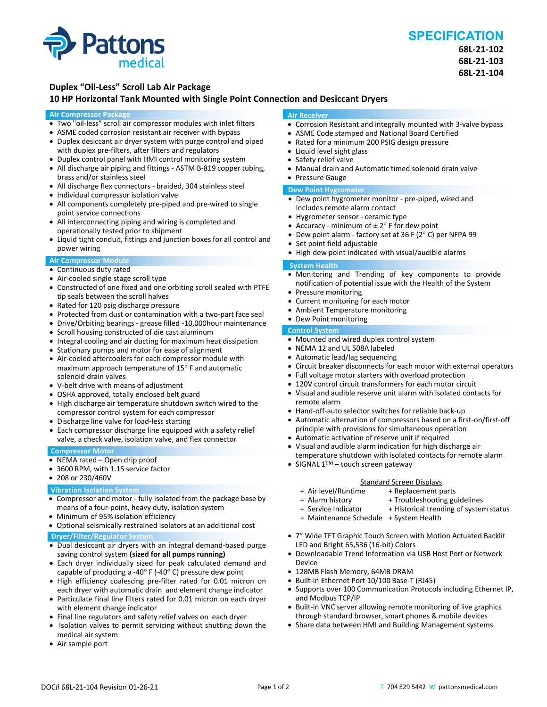

# **SPECIFICATION**

**68L‐21‐102 68L‐21‐103 68L‐21‐104**

## **Duplex "Oil‐Less" Scroll Lab Air Package**

### **10 HP Horizontal Tank Mounted with Single Point Connection and Desiccant Dryers**

#### **Air Compressor Package**

- Two "oil-less" scroll air compressor modules with inlet filters
- ASME coded corrosion resistant air receiver with bypass
- Duplex desiccant air dryer system with purge control and piped with duplex pre-filters, after filters and regulators
- Duplex control panel with HMI control monitoring system
- All discharge air piping and fittings ‐ ASTM B‐819 copper tubing, brass and/or stainless steel
- All discharge flex connectors ‐ braided, 304 stainless steel
- Individual compressor isolation valve
- All components completely pre-piped and pre-wired to single point service connections
- All interconnecting piping and wiring is completed and operationally tested prior to shipment
- Liquid tight conduit, fittings and junction boxes for all control and power wiring

#### **Air Compressor Module**

- Continuous duty rated
- Air-cooled single stage scroll type
- Constructed of one fixed and one orbiting scroll sealed with PTFE tip seals between the scroll halves
- Rated for 120 psig discharge pressure
- Protected from dust or contamination with a two-part face seal
- Drive/Orbiting bearings ‐ grease filled ‐10,000hour maintenance
- Scroll housing constructed of die cast aluminum
- Integral cooling and air ducting for maximum heat dissipation
- Stationary pumps and motor for ease of alignment
- Air-cooled aftercoolers for each compressor module with maximum approach temperature of 15° F and automatic solenoid drain valves
- V‐belt drive with means of adjustment
- OSHA approved, totally enclosed belt guard
- High discharge air temperature shutdown switch wired to the compressor control system for each compressor
- Discharge line valve for load-less starting
- Each compressor discharge line equipped with a safety relief valve, a check valve, isolation valve, and flex connector

#### **Compressor Motor**

- NEMA rated Open drip proof
- 3600 RPM, with 1.15 service factor
- 208 or 230/460V

#### **Vibration Isolation System**

- Compressor and motor ‐ fully isolated from the package base by means of a four‐point, heavy duty, isolation system
- Minimum of 95% isolation efficiency
- Optional seismically restrained isolators at an additional cost **Dryer/Filter/Regulator System**
- Dual desiccant air dryers with an integral demand-based purge saving control system **(sized for all pumps running)**
- Each dryer individually sized for peak calculated demand and capable of producing a -40 $\degree$  F (-40 $\degree$  C) pressure dew point
- High efficiency coalescing pre-filter rated for 0.01 micron on each dryer with automatic drain and element change indicator
- Particulate final line filters rated for 0.01 micron on each dryer with element change indicator
- Final line regulators and safety relief valves on each dryer
- Isolation valves to permit servicing without shutting down the medical air system
- Air sample port

#### **Air Receiver**

- Corrosion Resistant and integrally mounted with 3-valve bypass
- ASME Code stamped and National Board Certified
- Rated for a minimum 200 PSIG design pressure
- Liquid level sight glass
- Safety relief valve
- Manual drain and Automatic timed solenoid drain valve
- Pressure Gauge

#### **Dew Point Hygrometer**

- Dew point hygrometer monitor pre-piped, wired and includes remote alarm contact
- Hygrometer sensor ‐ ceramic type
- Accuracy minimum of  $\pm 2^{\circ}$  F for dew point
- Dew point alarm ‐ factory set at 36 F (2° C) per NFPA 99
- Set point field adjustable
- High dew point indicated with visual/audible alarms

#### **System Health**

- Monitoring and Trending of key components to provide notification of potential issue with the Health of the System
- Pressure monitoring
- Current monitoring for each motor
- Ambient Temperature monitoring
- Dew Point monitoring

## **Control System**

- Mounted and wired duplex control system
- NEMA 12 and UL 508A labeled
- Automatic lead/lag sequencing
- Circuit breaker disconnects for each motor with external operators
- Full voltage motor starters with overload protection
- 120V control circuit transformers for each motor circuit
- Visual and audible reserve unit alarm with isolated contacts for remote alarm
- Hand-off-auto selector switches for reliable back-up
- Automatic alternation of compressors based on a first-on/first-off principle with provisions for simultaneous operation
- Automatic activation of reserve unit if required
- Visual and audible alarm indication for high discharge air temperature shutdown with isolated contacts for remote alarm
- SIGNAL 1™ touch screen gateway

- Standard Screen Displays<br>Air level/Runtime + Replacement p + + Air level/Runtime + Replacement parts
- 
- + Troubleshooting guidelines
- 
- + Maintenance Schedule + System Health
- 7" Wide TFT Graphic Touch Screen with Motion Actuated Backlit LED and Bright 65,536 (16‐bit) Colors
- Downloadable Trend Information via USB Host Port or Network Device
- 128MB Flash Memory, 64MB DRAM
- Built-in Ethernet Port 10/100 Base-T (RJ45)
- Supports over 100 Communication Protocols including Ethernet IP, and Modbus TCP/IP
- Built-in VNC server allowing remote monitoring of live graphics through standard browser, smart phones & mobile devices
- Share data between HMI and Building Management systems
- 
- + Service Indicator + Historical trending of system status